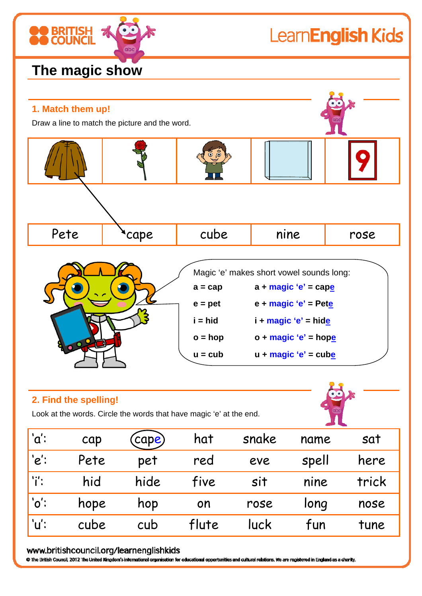

## LearnEnglish Kids

### **The magic show**



#### **2. Find the spelling!**

Look at the words. Circle the words that have magic 'e' at the end.

|                 |      | Look at the words. Circle the words that have magic 'e' at the end. |       |       |       |       |
|-----------------|------|---------------------------------------------------------------------|-------|-------|-------|-------|
| 'a              | cap  | (cape)                                                              | hat   | snake | name  | sat   |
| $'e$ :          | Pete | pet                                                                 | red   | eve   | spell | here  |
| li':            | hid  | hide                                                                | five  | sit   | nine  | trick |
| $^{\prime}$ o': | hope | hop                                                                 | on    | rose  | long  | nose  |
| ้'น':           | cube | cub                                                                 | flute | luck  | fun   | tune  |

#### www.britishcouncil.org/learnenglishkids

C The British Council, 2012 The United Kingdom's international organisation for educational opportunities and cultural relations. We are registered in England as a charity.